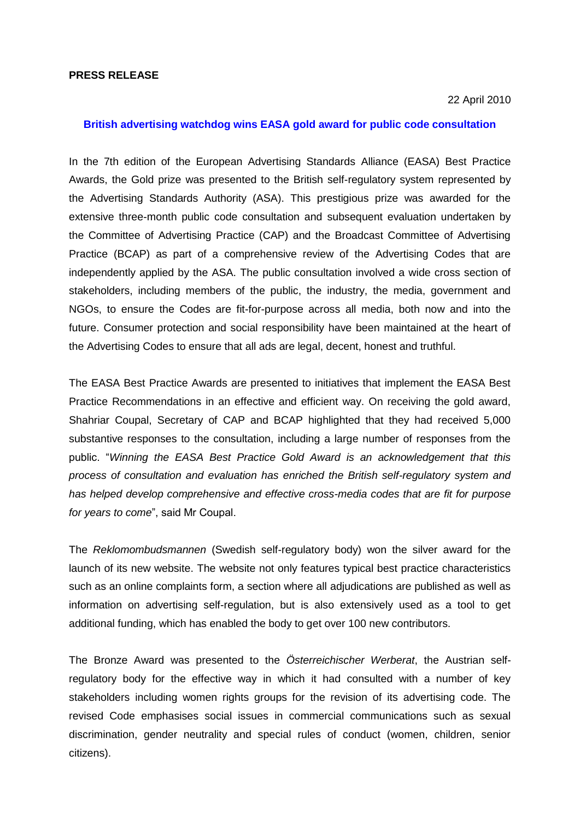## **PRESS RELEASE**

#### 22 April 2010

# **British advertising watchdog wins EASA gold award for public code consultation**

In the 7th edition of the European Advertising Standards Alliance (EASA) Best Practice Awards, the Gold prize was presented to the British self-regulatory system represented by the Advertising Standards Authority (ASA). This prestigious prize was awarded for the extensive three-month public code consultation and subsequent evaluation undertaken by the Committee of Advertising Practice (CAP) and the Broadcast Committee of Advertising Practice (BCAP) as part of a comprehensive review of the Advertising Codes that are independently applied by the ASA. The public consultation involved a wide cross section of stakeholders, including members of the public, the industry, the media, government and NGOs, to ensure the Codes are fit-for-purpose across all media, both now and into the future. Consumer protection and social responsibility have been maintained at the heart of the Advertising Codes to ensure that all ads are legal, decent, honest and truthful.

The EASA Best Practice Awards are presented to initiatives that implement the EASA Best Practice Recommendations in an effective and efficient way. On receiving the gold award, Shahriar Coupal, Secretary of CAP and BCAP highlighted that they had received 5,000 substantive responses to the consultation, including a large number of responses from the public. "*Winning the EASA Best Practice Gold Award is an acknowledgement that this process of consultation and evaluation has enriched the British self-regulatory system and has helped develop comprehensive and effective cross-media codes that are fit for purpose for years to come*", said Mr Coupal.

The *Reklomombudsmannen* (Swedish self-regulatory body) won the silver award for the launch of its new website. The website not only features typical best practice characteristics such as an online complaints form, a section where all adjudications are published as well as information on advertising self-regulation, but is also extensively used as a tool to get additional funding, which has enabled the body to get over 100 new contributors.

The Bronze Award was presented to the *Österreichischer Werberat*, the Austrian selfregulatory body for the effective way in which it had consulted with a number of key stakeholders including women rights groups for the revision of its advertising code. The revised Code emphasises social issues in commercial communications such as sexual discrimination, gender neutrality and special rules of conduct (women, children, senior citizens).